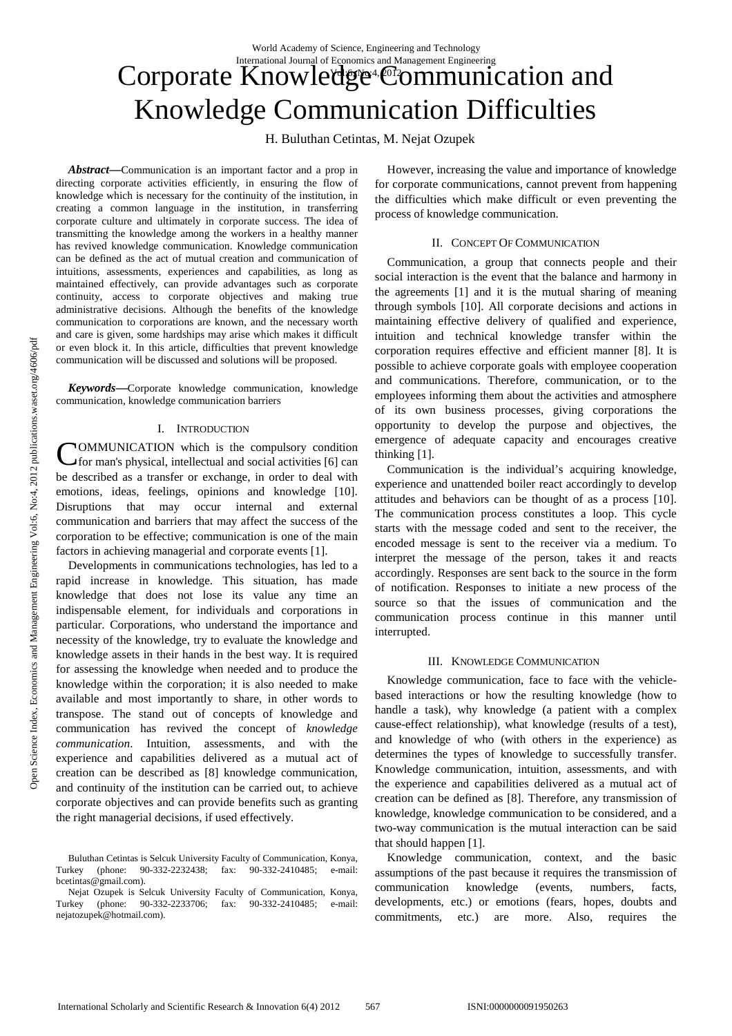# Corporate Knowledge<sup>4</sup> Communication and Knowledge Communication Difficulties International Journal of Economics and Management Engineering

H. Buluthan Cetintas, M. Nejat Ozupek

*Abstract***—**Communication is an important factor and a prop in directing corporate activities efficiently, in ensuring the flow of knowledge which is necessary for the continuity of the institution, in creating a common language in the institution, in transferring corporate culture and ultimately in corporate success. The idea of transmitting the knowledge among the workers in a healthy manner has revived knowledge communication. Knowledge communication can be defined as the act of mutual creation and communication of intuitions, assessments, experiences and capabilities, as long as maintained effectively, can provide advantages such as corporate continuity, access to corporate objectives and making true administrative decisions. Although the benefits of the knowledge communication to corporations are known, and the necessary worth and care is given, some hardships may arise which makes it difficult or even block it. In this article, difficulties that prevent knowledge communication will be discussed and solutions will be proposed.

*Keywords***—**Corporate knowledge communication, knowledge communication, knowledge communication barriers

## I. INTRODUCTION

OMMUNICATION which is the compulsory condition **COMMUNICATION** which is the compulsory condition for man's physical, intellectual and social activities [6] can be described as a transfer or exchange, in order to deal with emotions, ideas, feelings, opinions and knowledge [10]. Disruptions that may occur internal and external communication and barriers that may affect the success of the corporation to be effective; communication is one of the main factors in achieving managerial and corporate events [1].

Developments in communications technologies, has led to a rapid increase in knowledge. This situation, has made knowledge that does not lose its value any time an indispensable element, for individuals and corporations in particular. Corporations, who understand the importance and necessity of the knowledge, try to evaluate the knowledge and knowledge assets in their hands in the best way. It is required for assessing the knowledge when needed and to produce the knowledge within the corporation; it is also needed to make available and most importantly to share, in other words to transpose. The stand out of concepts of knowledge and communication has revived the concept of *knowledge communication*. Intuition, assessments, and with the experience and capabilities delivered as a mutual act of creation can be described as [8] knowledge communication, and continuity of the institution can be carried out, to achieve corporate objectives and can provide benefits such as granting the right managerial decisions, if used effectively.

However, increasing the value and importance of knowledge for corporate communications, cannot prevent from happening the difficulties which make difficult or even preventing the process of knowledge communication.

#### II. CONCEPT OF COMMUNICATION

Communication, a group that connects people and their social interaction is the event that the balance and harmony in the agreements [1] and it is the mutual sharing of meaning through symbols [10]. All corporate decisions and actions in maintaining effective delivery of qualified and experience, intuition and technical knowledge transfer within the corporation requires effective and efficient manner [8]. It is possible to achieve corporate goals with employee cooperation and communications. Therefore, communication, or to the employees informing them about the activities and atmosphere of its own business processes, giving corporations the opportunity to develop the purpose and objectives, the emergence of adequate capacity and encourages creative thinking [1].

Communication is the individual's acquiring knowledge, experience and unattended boiler react accordingly to develop attitudes and behaviors can be thought of as a process [10]. The communication process constitutes a loop. This cycle starts with the message coded and sent to the receiver, the encoded message is sent to the receiver via a medium. To interpret the message of the person, takes it and reacts accordingly. Responses are sent back to the source in the form of notification. Responses to initiate a new process of the source so that the issues of communication and the communication process continue in this manner until interrupted.

#### III. KNOWLEDGE COMMUNICATION

Knowledge communication, face to face with the vehiclebased interactions or how the resulting knowledge (how to handle a task), why knowledge (a patient with a complex cause-effect relationship), what knowledge (results of a test), and knowledge of who (with others in the experience) as determines the types of knowledge to successfully transfer. Knowledge communication, intuition, assessments, and with the experience and capabilities delivered as a mutual act of creation can be defined as [8]. Therefore, any transmission of knowledge, knowledge communication to be considered, and a two-way communication is the mutual interaction can be said that should happen [1].

Knowledge communication, context, and the basic assumptions of the past because it requires the transmission of communication knowledge (events, numbers, facts, developments, etc.) or emotions (fears, hopes, doubts and commitments, etc.) are more. Also, requires the

Buluthan Cetintas is Selcuk University Faculty of Communication, Konya,<br>rkey (phone: 90-332-2232438; fax: 90-332-2410485; e-mail: Turkey (phone: 90-332-2232438; fax: 90-332-2410485; e-mail: bcetintas@gmail.com).

Nejat Ozupek is Selcuk University Faculty of Communication, Konya, Turkey (phone: 90-332-2233706; fax: 90-332-2410485; e-mail: nejatozupek@hotmail.com).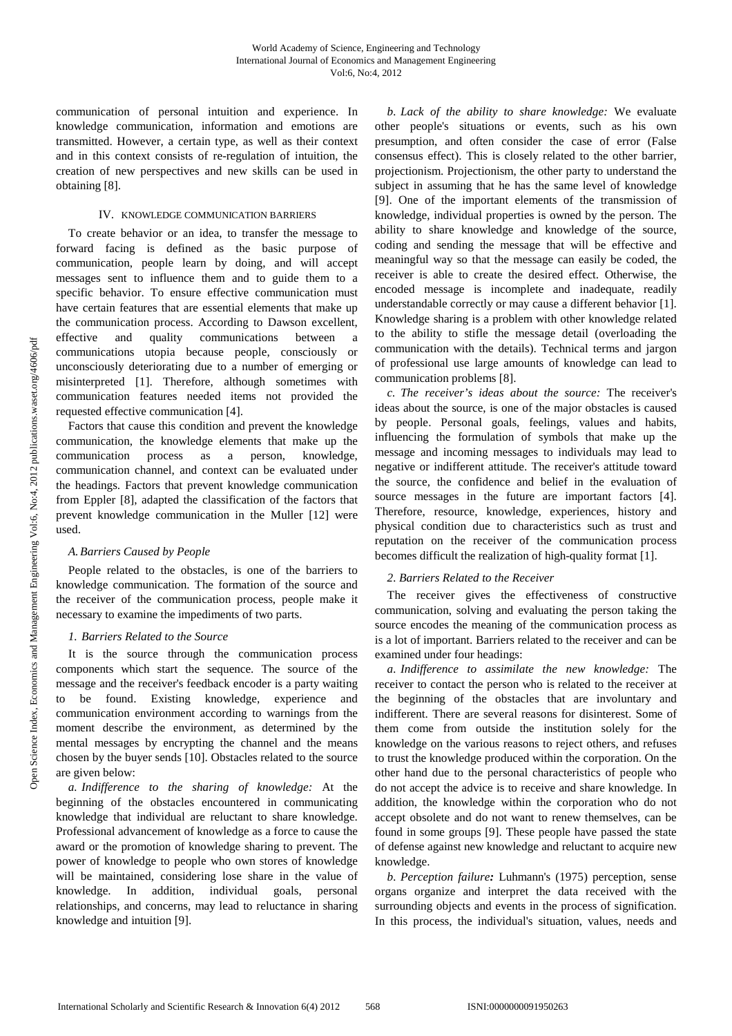communication of personal intuition and experience. In knowledge communication, information and emotions are transmitted. However, a certain type, as well as their context and in this context consists of re-regulation of intuition, the creation of new perspectives and new skills can be used in obtaining [8].

## IV. KNOWLEDGE COMMUNICATION BARRIERS

To create behavior or an idea, to transfer the message to forward facing is defined as the basic purpose of communication, people learn by doing, and will accept messages sent to influence them and to guide them to a specific behavior. To ensure effective communication must have certain features that are essential elements that make up the communication process. According to Dawson excellent, effective and quality communications between a communications utopia because people, consciously or unconsciously deteriorating due to a number of emerging or misinterpreted [1]. Therefore, although sometimes with communication features needed items not provided the requested effective communication [4].

Factors that cause this condition and prevent the knowledge communication, the knowledge elements that make up the communication process as a person, knowledge, communication channel, and context can be evaluated under the headings. Factors that prevent knowledge communication from Eppler [8], adapted the classification of the factors that prevent knowledge communication in the Muller [12] were used.

## *A.Barriers Caused by People*

People related to the obstacles, is one of the barriers to knowledge communication. The formation of the source and the receiver of the communication process, people make it necessary to examine the impediments of two parts.

## *1. Barriers Related to the Source*

It is the source through the communication process components which start the sequence. The source of the message and the receiver's feedback encoder is a party waiting to be found. Existing knowledge, experience and communication environment according to warnings from the moment describe the environment, as determined by the mental messages by encrypting the channel and the means chosen by the buyer sends [10]. Obstacles related to the source are given below:

*a. Indifference to the sharing of knowledge:* At the beginning of the obstacles encountered in communicating knowledge that individual are reluctant to share knowledge. Professional advancement of knowledge as a force to cause the award or the promotion of knowledge sharing to prevent. The power of knowledge to people who own stores of knowledge will be maintained, considering lose share in the value of knowledge. In addition, individual goals, personal relationships, and concerns, may lead to reluctance in sharing knowledge and intuition [9].

*b. Lack of the ability to share knowledge:* We evaluate other people's situations or events, such as his own presumption, and often consider the case of error (False consensus effect). This is closely related to the other barrier, projectionism. Projectionism, the other party to understand the subject in assuming that he has the same level of knowledge [9]. One of the important elements of the transmission of knowledge, individual properties is owned by the person. The ability to share knowledge and knowledge of the source, coding and sending the message that will be effective and meaningful way so that the message can easily be coded, the receiver is able to create the desired effect. Otherwise, the encoded message is incomplete and inadequate, readily understandable correctly or may cause a different behavior [1]. Knowledge sharing is a problem with other knowledge related to the ability to stifle the message detail (overloading the communication with the details). Technical terms and jargon of professional use large amounts of knowledge can lead to communication problems [8].

*c. The receiver's ideas about the source:* The receiver's ideas about the source, is one of the major obstacles is caused by people. Personal goals, feelings, values and habits, influencing the formulation of symbols that make up the message and incoming messages to individuals may lead to negative or indifferent attitude. The receiver's attitude toward the source, the confidence and belief in the evaluation of source messages in the future are important factors [4]. Therefore, resource, knowledge, experiences, history and physical condition due to characteristics such as trust and reputation on the receiver of the communication process becomes difficult the realization of high-quality format [1].

## *2. Barriers Related to the Receiver*

The receiver gives the effectiveness of constructive communication, solving and evaluating the person taking the source encodes the meaning of the communication process as is a lot of important. Barriers related to the receiver and can be examined under four headings:

*a. Indifference to assimilate the new knowledge:* The receiver to contact the person who is related to the receiver at the beginning of the obstacles that are involuntary and indifferent. There are several reasons for disinterest. Some of them come from outside the institution solely for the knowledge on the various reasons to reject others, and refuses to trust the knowledge produced within the corporation. On the other hand due to the personal characteristics of people who do not accept the advice is to receive and share knowledge. In addition, the knowledge within the corporation who do not accept obsolete and do not want to renew themselves, can be found in some groups [9]. These people have passed the state of defense against new knowledge and reluctant to acquire new knowledge.

*b. Perception failure:* Luhmann's (1975) perception, sense organs organize and interpret the data received with the surrounding objects and events in the process of signification. In this process, the individual's situation, values, needs and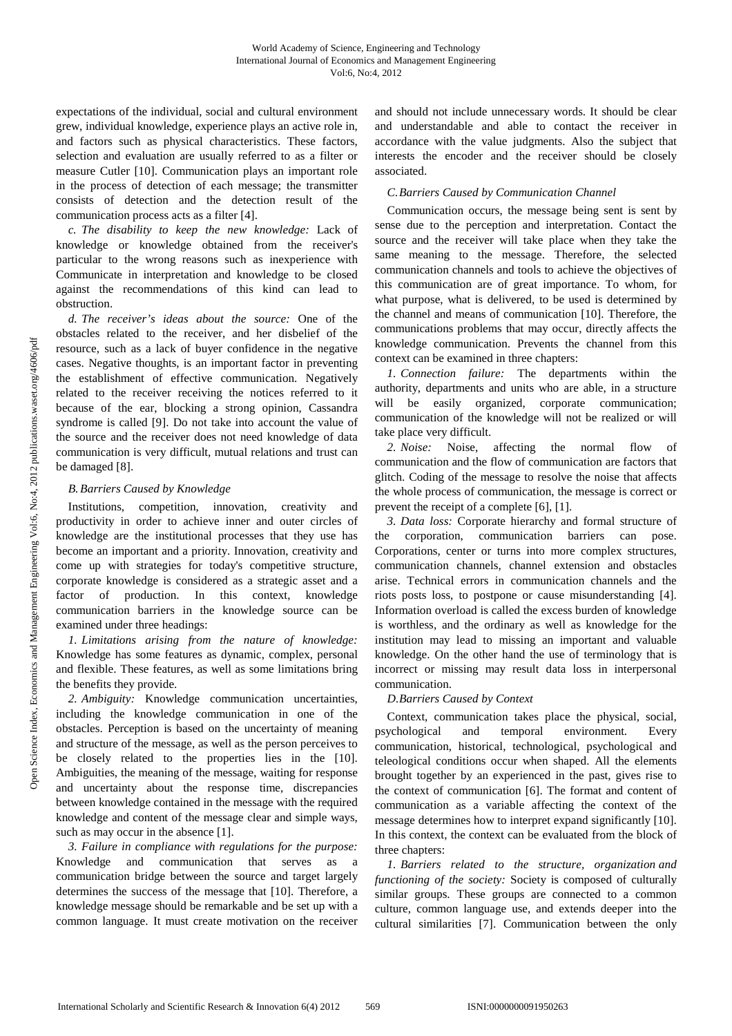expectations of the individual, social and cultural environment grew, individual knowledge, experience plays an active role in, and factors such as physical characteristics. These factors, selection and evaluation are usually referred to as a filter or measure Cutler [10]. Communication plays an important role in the process of detection of each message; the transmitter consists of detection and the detection result of the communication process acts as a filter [4].

*c. The disability to keep the new knowledge:* Lack of knowledge or knowledge obtained from the receiver's particular to the wrong reasons such as inexperience with Communicate in interpretation and knowledge to be closed against the recommendations of this kind can lead to obstruction.

*d. The receiver's ideas about the source:* One of the obstacles related to the receiver, and her disbelief of the resource, such as a lack of buyer confidence in the negative cases. Negative thoughts, is an important factor in preventing the establishment of effective communication. Negatively related to the receiver receiving the notices referred to it because of the ear, blocking a strong opinion, Cassandra syndrome is called [9]. Do not take into account the value of the source and the receiver does not need knowledge of data communication is very difficult, mutual relations and trust can be damaged [8].

## *B.Barriers Caused by Knowledge*

Institutions, competition, innovation, creativity and productivity in order to achieve inner and outer circles of knowledge are the institutional processes that they use has become an important and a priority. Innovation, creativity and come up with strategies for today's competitive structure, corporate knowledge is considered as a strategic asset and a factor of production. In this context, knowledge communication barriers in the knowledge source can be examined under three headings:

*1. Limitations arising from the nature of knowledge:* Knowledge has some features as dynamic, complex, personal and flexible. These features, as well as some limitations bring the benefits they provide.

*2. Ambiguity:* Knowledge communication uncertainties, including the knowledge communication in one of the obstacles. Perception is based on the uncertainty of meaning and structure of the message, as well as the person perceives to be closely related to the properties lies in the [10]. Ambiguities, the meaning of the message, waiting for response and uncertainty about the response time, discrepancies between knowledge contained in the message with the required knowledge and content of the message clear and simple ways, such as may occur in the absence [1].

*3. Failure in compliance with regulations for the purpose:* Knowledge and communication that serves as a communication bridge between the source and target largely determines the success of the message that [10]. Therefore, a knowledge message should be remarkable and be set up with a common language. It must create motivation on the receiver and should not include unnecessary words. It should be clear and understandable and able to contact the receiver in accordance with the value judgments. Also the subject that interests the encoder and the receiver should be closely associated.

# *C.Barriers Caused by Communication Channel*

Communication occurs, the message being sent is sent by sense due to the perception and interpretation. Contact the source and the receiver will take place when they take the same meaning to the message. Therefore, the selected communication channels and tools to achieve the objectives of this communication are of great importance. To whom, for what purpose, what is delivered, to be used is determined by the channel and means of communication [10]. Therefore, the communications problems that may occur, directly affects the knowledge communication. Prevents the channel from this context can be examined in three chapters:

*1. Connection failure:* The departments within the authority, departments and units who are able, in a structure will be easily organized, corporate communication; communication of the knowledge will not be realized or will take place very difficult.

*2. Noise:* Noise, affecting the normal flow of communication and the flow of communication are factors that glitch. Coding of the message to resolve the noise that affects the whole process of communication, the message is correct or prevent the receipt of a complete [6], [1].

*3. Data loss:* Corporate hierarchy and formal structure of the corporation, communication barriers can pose. Corporations, center or turns into more complex structures, communication channels, channel extension and obstacles arise. Technical errors in communication channels and the riots posts loss, to postpone or cause misunderstanding [4]. Information overload is called the excess burden of knowledge is worthless, and the ordinary as well as knowledge for the institution may lead to missing an important and valuable knowledge. On the other hand the use of terminology that is incorrect or missing may result data loss in interpersonal communication.

# *D.Barriers Caused by Context*

Context, communication takes place the physical, social, psychological and temporal environment. Every communication, historical, technological, psychological and teleological conditions occur when shaped. All the elements brought together by an experienced in the past, gives rise to the context of communication [6]. The format and content of communication as a variable affecting the context of the message determines how to interpret expand significantly [10]. In this context, the context can be evaluated from the block of three chapters:

*1. Barriers related to the structure, organization and functioning of the society:* Society is composed of culturally similar groups. These groups are connected to a common culture, common language use, and extends deeper into the cultural similarities [7]. Communication between the only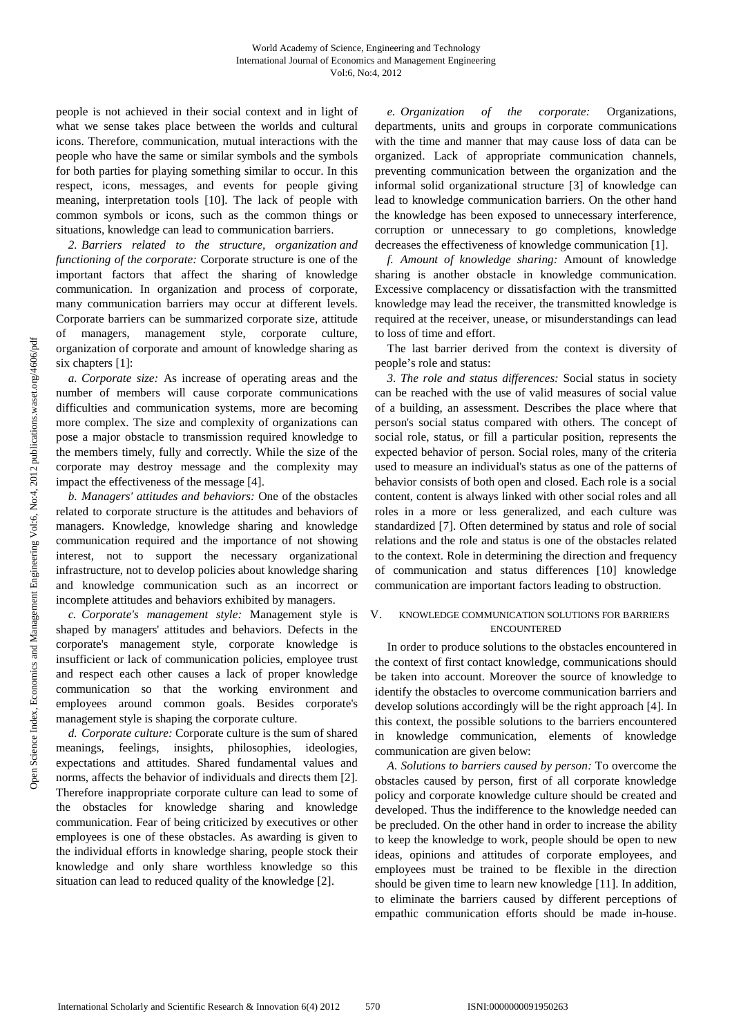people is not achieved in their social context and in light of what we sense takes place between the worlds and cultural icons. Therefore, communication, mutual interactions with the people who have the same or similar symbols and the symbols for both parties for playing something similar to occur. In this respect, icons, messages, and events for people giving meaning, interpretation tools [10]. The lack of people with common symbols or icons, such as the common things or situations, knowledge can lead to communication barriers.

*2. Barriers related to the structure, organization and functioning of the corporate:* Corporate structure is one of the important factors that affect the sharing of knowledge communication. In organization and process of corporate, many communication barriers may occur at different levels. Corporate barriers can be summarized corporate size, attitude of managers, management style, corporate culture, organization of corporate and amount of knowledge sharing as six chapters [1]:

*a. Corporate size:* As increase of operating areas and the number of members will cause corporate communications difficulties and communication systems, more are becoming more complex. The size and complexity of organizations can pose a major obstacle to transmission required knowledge to the members timely, fully and correctly. While the size of the corporate may destroy message and the complexity may impact the effectiveness of the message [4].

*b. Managers' attitudes and behaviors:* One of the obstacles related to corporate structure is the attitudes and behaviors of managers. Knowledge, knowledge sharing and knowledge communication required and the importance of not showing interest, not to support the necessary organizational infrastructure, not to develop policies about knowledge sharing and knowledge communication such as an incorrect or incomplete attitudes and behaviors exhibited by managers.

*c. Corporate's management style:* Management style is shaped by managers' attitudes and behaviors. Defects in the corporate's management style, corporate knowledge is insufficient or lack of communication policies, employee trust and respect each other causes a lack of proper knowledge communication so that the working environment and employees around common goals. Besides corporate's management style is shaping the corporate culture.

*d. Corporate culture:* Corporate culture is the sum of shared meanings, feelings, insights, philosophies, ideologies, expectations and attitudes. Shared fundamental values and norms, affects the behavior of individuals and directs them [2]. Therefore inappropriate corporate culture can lead to some of the obstacles for knowledge sharing and knowledge communication. Fear of being criticized by executives or other employees is one of these obstacles. As awarding is given to the individual efforts in knowledge sharing, people stock their knowledge and only share worthless knowledge so this situation can lead to reduced quality of the knowledge [2].

*e. Organization of the corporate:* Organizations, departments, units and groups in corporate communications with the time and manner that may cause loss of data can be organized. Lack of appropriate communication channels, preventing communication between the organization and the informal solid organizational structure [3] of knowledge can lead to knowledge communication barriers. On the other hand the knowledge has been exposed to unnecessary interference, corruption or unnecessary to go completions, knowledge decreases the effectiveness of knowledge communication [1].

*f. Amount of knowledge sharing:* Amount of knowledge sharing is another obstacle in knowledge communication. Excessive complacency or dissatisfaction with the transmitted knowledge may lead the receiver, the transmitted knowledge is required at the receiver, unease, or misunderstandings can lead to loss of time and effort.

The last barrier derived from the context is diversity of people's role and status:

*3. The role and status differences:* Social status in society can be reached with the use of valid measures of social value of a building, an assessment. Describes the place where that person's social status compared with others. The concept of social role, status, or fill a particular position, represents the expected behavior of person. Social roles, many of the criteria used to measure an individual's status as one of the patterns of behavior consists of both open and closed. Each role is a social content, content is always linked with other social roles and all roles in a more or less generalized, and each culture was standardized [7]. Often determined by status and role of social relations and the role and status is one of the obstacles related to the context. Role in determining the direction and frequency of communication and status differences [10] knowledge communication are important factors leading to obstruction.

## V. KNOWLEDGE COMMUNICATION SOLUTIONS FOR BARRIERS ENCOUNTERED

In order to produce solutions to the obstacles encountered in the context of first contact knowledge, communications should be taken into account. Moreover the source of knowledge to identify the obstacles to overcome communication barriers and develop solutions accordingly will be the right approach [4]. In this context, the possible solutions to the barriers encountered in knowledge communication, elements of knowledge communication are given below:

*A. Solutions to barriers caused by person:* To overcome the obstacles caused by person, first of all corporate knowledge policy and corporate knowledge culture should be created and developed. Thus the indifference to the knowledge needed can be precluded. On the other hand in order to increase the ability to keep the knowledge to work, people should be open to new ideas, opinions and attitudes of corporate employees, and employees must be trained to be flexible in the direction should be given time to learn new knowledge [11]. In addition, to eliminate the barriers caused by different perceptions of empathic communication efforts should be made in-house.